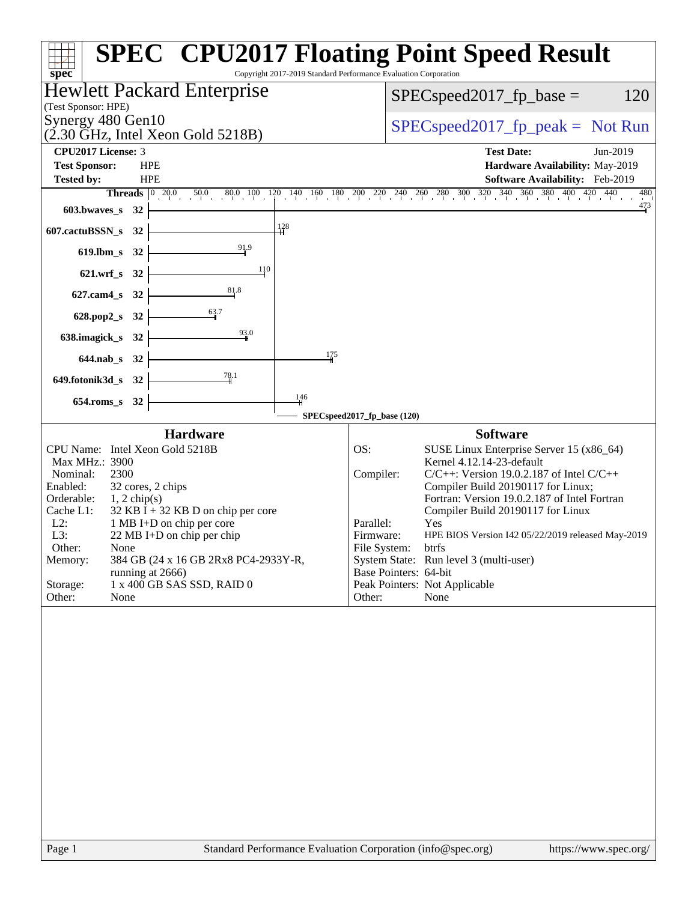|                                                                                                                                                                                                                                                                                                                                                                                                                              | <b>SPEC<sup>®</sup> CPU2017 Floating Point Speed Result</b>                                                                                                                                                                                                                                                                                                                                                                                                                                                |
|------------------------------------------------------------------------------------------------------------------------------------------------------------------------------------------------------------------------------------------------------------------------------------------------------------------------------------------------------------------------------------------------------------------------------|------------------------------------------------------------------------------------------------------------------------------------------------------------------------------------------------------------------------------------------------------------------------------------------------------------------------------------------------------------------------------------------------------------------------------------------------------------------------------------------------------------|
| spec <sup>®</sup>                                                                                                                                                                                                                                                                                                                                                                                                            | Copyright 2017-2019 Standard Performance Evaluation Corporation                                                                                                                                                                                                                                                                                                                                                                                                                                            |
| <b>Hewlett Packard Enterprise</b><br>(Test Sponsor: HPE)                                                                                                                                                                                                                                                                                                                                                                     | 120<br>$SPEC speed2017_fp\_base =$                                                                                                                                                                                                                                                                                                                                                                                                                                                                         |
| Synergy 480 Gen10<br>$(2.30 \text{ GHz}, \text{Intel Xeon Gold } 5218B)$                                                                                                                                                                                                                                                                                                                                                     | $SPEC speed2017rfp peak = Not Run$                                                                                                                                                                                                                                                                                                                                                                                                                                                                         |
| CPU2017 License: 3                                                                                                                                                                                                                                                                                                                                                                                                           | <b>Test Date:</b><br>Jun-2019                                                                                                                                                                                                                                                                                                                                                                                                                                                                              |
| <b>Test Sponsor:</b><br><b>HPE</b>                                                                                                                                                                                                                                                                                                                                                                                           | Hardware Availability: May-2019                                                                                                                                                                                                                                                                                                                                                                                                                                                                            |
| <b>Tested by:</b><br><b>HPE</b>                                                                                                                                                                                                                                                                                                                                                                                              | Software Availability: Feb-2019                                                                                                                                                                                                                                                                                                                                                                                                                                                                            |
|                                                                                                                                                                                                                                                                                                                                                                                                                              | <b>Threads</b> $\begin{bmatrix} 0 & 20.0 & 50.0 & 80.0 & 100 & 120 & 140 & 160 & 180 & 200 & 240 & 240 & 260 & 300 & 320 & 340 & 360 & 380 & 400 & 420 & 440 \end{bmatrix}$<br>480<br>$\frac{473}{4}$                                                                                                                                                                                                                                                                                                      |
| $603.bwaves$ $32$                                                                                                                                                                                                                                                                                                                                                                                                            |                                                                                                                                                                                                                                                                                                                                                                                                                                                                                                            |
| $\frac{128}{11}$<br>607.cactuBSSN_s 32                                                                                                                                                                                                                                                                                                                                                                                       |                                                                                                                                                                                                                                                                                                                                                                                                                                                                                                            |
| 91.9<br>$619$ .lbm_s<br>32                                                                                                                                                                                                                                                                                                                                                                                                   |                                                                                                                                                                                                                                                                                                                                                                                                                                                                                                            |
| 110<br>621.wrf_s 32                                                                                                                                                                                                                                                                                                                                                                                                          |                                                                                                                                                                                                                                                                                                                                                                                                                                                                                                            |
| 81,8<br>627.cam4_s 32                                                                                                                                                                                                                                                                                                                                                                                                        |                                                                                                                                                                                                                                                                                                                                                                                                                                                                                                            |
| 628.pop2_s 32                                                                                                                                                                                                                                                                                                                                                                                                                |                                                                                                                                                                                                                                                                                                                                                                                                                                                                                                            |
| 93.0<br>638.imagick_s 32                                                                                                                                                                                                                                                                                                                                                                                                     |                                                                                                                                                                                                                                                                                                                                                                                                                                                                                                            |
| 175<br>644.nab_s 32                                                                                                                                                                                                                                                                                                                                                                                                          |                                                                                                                                                                                                                                                                                                                                                                                                                                                                                                            |
| 78.1<br>649.fotonik3d_s 32                                                                                                                                                                                                                                                                                                                                                                                                   |                                                                                                                                                                                                                                                                                                                                                                                                                                                                                                            |
| $\frac{146}{4}$<br>654.roms_s 32                                                                                                                                                                                                                                                                                                                                                                                             |                                                                                                                                                                                                                                                                                                                                                                                                                                                                                                            |
|                                                                                                                                                                                                                                                                                                                                                                                                                              | SPECspeed2017_fp_base (120)                                                                                                                                                                                                                                                                                                                                                                                                                                                                                |
| <b>Hardware</b>                                                                                                                                                                                                                                                                                                                                                                                                              | <b>Software</b>                                                                                                                                                                                                                                                                                                                                                                                                                                                                                            |
| CPU Name: Intel Xeon Gold 5218B<br>Max MHz.: 3900<br>2300<br>Nominal:<br>Enabled:<br>32 cores, 2 chips<br>Orderable:<br>$1, 2$ chip(s)<br>$32$ KB I + 32 KB D on chip per core<br>Cache L1:<br>$L2$ :<br>1 MB I+D on chip per core<br>L3:<br>22 MB I+D on chip per chip<br>Other:<br>None<br>Memory:<br>384 GB (24 x 16 GB 2Rx8 PC4-2933Y-R,<br>running at 2666)<br>1 x 400 GB SAS SSD, RAID 0<br>Storage:<br>Other:<br>None | OS:<br>SUSE Linux Enterprise Server 15 (x86_64)<br>Kernel 4.12.14-23-default<br>$C/C++$ : Version 19.0.2.187 of Intel $C/C++$<br>Compiler:<br>Compiler Build 20190117 for Linux;<br>Fortran: Version 19.0.2.187 of Intel Fortran<br>Compiler Build 20190117 for Linux<br>Parallel:<br>Yes<br>Firmware:<br>HPE BIOS Version I42 05/22/2019 released May-2019<br>File System:<br>btrfs<br>System State: Run level 3 (multi-user)<br>Base Pointers: 64-bit<br>Peak Pointers: Not Applicable<br>None<br>Other: |
|                                                                                                                                                                                                                                                                                                                                                                                                                              |                                                                                                                                                                                                                                                                                                                                                                                                                                                                                                            |
|                                                                                                                                                                                                                                                                                                                                                                                                                              |                                                                                                                                                                                                                                                                                                                                                                                                                                                                                                            |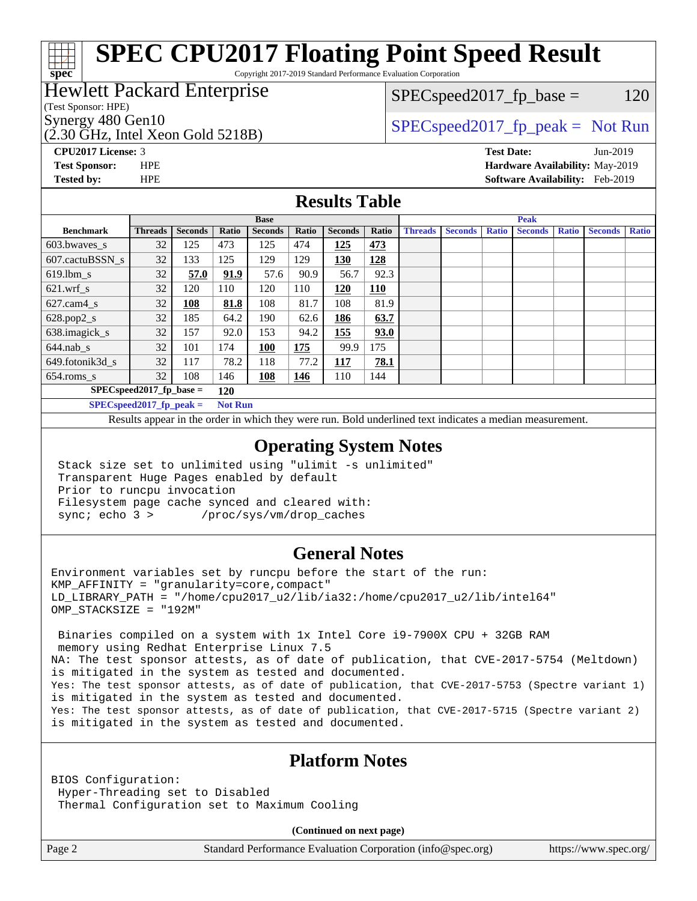# **[SPEC CPU2017 Floating Point Speed Result](http://www.spec.org/auto/cpu2017/Docs/result-fields.html#SPECCPU2017FloatingPointSpeedResult)**

Copyright 2017-2019 Standard Performance Evaluation Corporation

### Hewlett Packard Enterprise

### $SPEC speed2017_fp\_base = 120$

(Test Sponsor: HPE)

**[spec](http://www.spec.org/)**

(2.30 GHz, Intel Xeon Gold 5218B)

Synergy 480 Gen10<br>  $SPEC speed2017$  [p\_peak = Not Run

**[CPU2017 License:](http://www.spec.org/auto/cpu2017/Docs/result-fields.html#CPU2017License)** 3 **[Test Date:](http://www.spec.org/auto/cpu2017/Docs/result-fields.html#TestDate)** Jun-2019 **[Test Sponsor:](http://www.spec.org/auto/cpu2017/Docs/result-fields.html#TestSponsor)** HPE **[Hardware Availability:](http://www.spec.org/auto/cpu2017/Docs/result-fields.html#HardwareAvailability)** May-2019 **[Tested by:](http://www.spec.org/auto/cpu2017/Docs/result-fields.html#Testedby)** HPE **[Software Availability:](http://www.spec.org/auto/cpu2017/Docs/result-fields.html#SoftwareAvailability)** Feb-2019

### **[Results Table](http://www.spec.org/auto/cpu2017/Docs/result-fields.html#ResultsTable)**

|                                            | <b>Base</b>    |                |                   |                |            | <b>Peak</b>    |            |                |                |              |                |              |                |              |
|--------------------------------------------|----------------|----------------|-------------------|----------------|------------|----------------|------------|----------------|----------------|--------------|----------------|--------------|----------------|--------------|
| <b>Benchmark</b>                           | <b>Threads</b> | <b>Seconds</b> | Ratio             | <b>Seconds</b> | Ratio      | <b>Seconds</b> | Ratio      | <b>Threads</b> | <b>Seconds</b> | <b>Ratio</b> | <b>Seconds</b> | <b>Ratio</b> | <b>Seconds</b> | <b>Ratio</b> |
| $603.bwaves$ s                             | 32             | 125            | 473               | 125            | 474        | 125            | 473        |                |                |              |                |              |                |              |
| 607.cactuBSSN s                            | 32             | 133            | 125               | 129            | 129        | 130            | 128        |                |                |              |                |              |                |              |
| $619.$ lbm s                               | 32             | 57.0           | 91.9              | 57.6           | 90.9       | 56.7           | 92.3       |                |                |              |                |              |                |              |
| $621$ .wrf s                               | 32             | 120            | 110               | 120            | 110        | 120            | <u>110</u> |                |                |              |                |              |                |              |
| $627$ .cam $4 \text{ s}$                   | 32             | 108            | 81.8              | 108            | 81.7       | 108            | 81.9       |                |                |              |                |              |                |              |
| $628.pop2_s$                               | 32             | 185            | 64.2              | 190            | 62.6       | 186            | 63.7       |                |                |              |                |              |                |              |
| 638.imagick_s                              | 32             | 157            | 92.0              | 153            | 94.2       | 155            | 93.0       |                |                |              |                |              |                |              |
| $644$ .nab s                               | 32             | 101            | 174               | 100            | 175        | 99.9           | 175        |                |                |              |                |              |                |              |
| 649.fotonik3d s                            | 32             | 117            | 78.2              | 118            | 77.2       | 117            | 78.1       |                |                |              |                |              |                |              |
| $654$ .roms s                              | 32             | 108            | 146               | 108            | <u>146</u> | 110            | 144        |                |                |              |                |              |                |              |
| $SPEC speed2017$ fp base =<br>120          |                |                |                   |                |            |                |            |                |                |              |                |              |                |              |
| $CDFC_{\text{cmod}}$ $30017$ for negle $-$ |                |                | $N \sim$ D $\sim$ |                |            |                |            |                |                |              |                |              |                |              |

**[SPECspeed2017\\_fp\\_peak =](http://www.spec.org/auto/cpu2017/Docs/result-fields.html#SPECspeed2017fppeak) Not Run**

Results appear in the [order in which they were run.](http://www.spec.org/auto/cpu2017/Docs/result-fields.html#RunOrder) Bold underlined text [indicates a median measurement](http://www.spec.org/auto/cpu2017/Docs/result-fields.html#Median).

### **[Operating System Notes](http://www.spec.org/auto/cpu2017/Docs/result-fields.html#OperatingSystemNotes)**

 Stack size set to unlimited using "ulimit -s unlimited" Transparent Huge Pages enabled by default Prior to runcpu invocation Filesystem page cache synced and cleared with: sync; echo 3 > /proc/sys/vm/drop\_caches

### **[General Notes](http://www.spec.org/auto/cpu2017/Docs/result-fields.html#GeneralNotes)**

Environment variables set by runcpu before the start of the run: KMP\_AFFINITY = "granularity=core,compact" LD\_LIBRARY\_PATH = "/home/cpu2017\_u2/lib/ia32:/home/cpu2017\_u2/lib/intel64" OMP\_STACKSIZE = "192M"

 Binaries compiled on a system with 1x Intel Core i9-7900X CPU + 32GB RAM memory using Redhat Enterprise Linux 7.5 NA: The test sponsor attests, as of date of publication, that CVE-2017-5754 (Meltdown) is mitigated in the system as tested and documented. Yes: The test sponsor attests, as of date of publication, that CVE-2017-5753 (Spectre variant 1) is mitigated in the system as tested and documented. Yes: The test sponsor attests, as of date of publication, that CVE-2017-5715 (Spectre variant 2) is mitigated in the system as tested and documented.

### **[Platform Notes](http://www.spec.org/auto/cpu2017/Docs/result-fields.html#PlatformNotes)**

BIOS Configuration: Hyper-Threading set to Disabled Thermal Configuration set to Maximum Cooling

**(Continued on next page)**

Page 2 Standard Performance Evaluation Corporation [\(info@spec.org\)](mailto:info@spec.org) <https://www.spec.org/>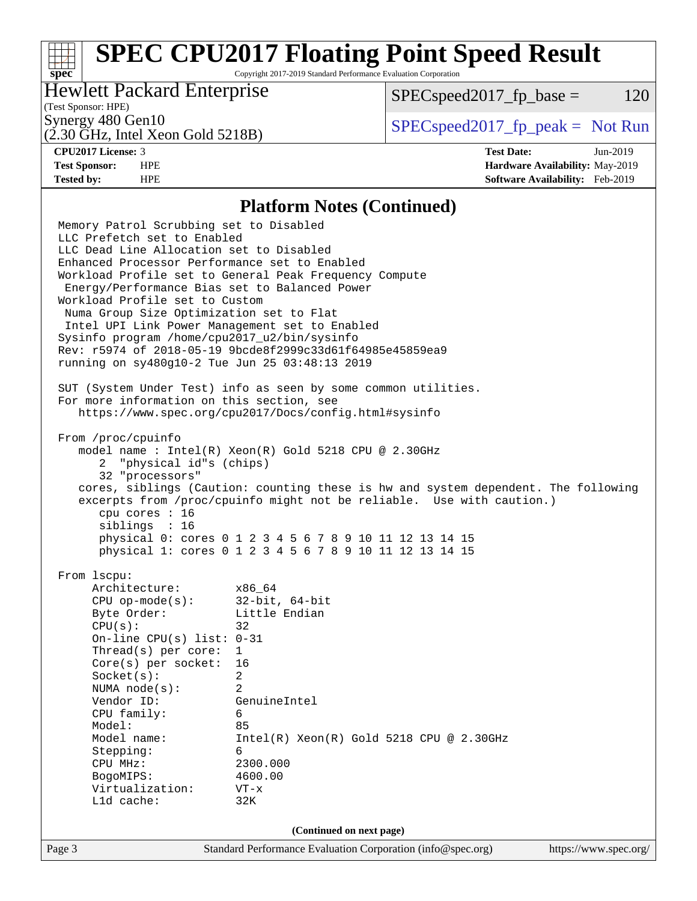# **[SPEC CPU2017 Floating Point Speed Result](http://www.spec.org/auto/cpu2017/Docs/result-fields.html#SPECCPU2017FloatingPointSpeedResult)**

Copyright 2017-2019 Standard Performance Evaluation Corporation

### Hewlett Packard Enterprise

 $SPEC speed2017_fp\_base = 120$ 

## (Test Sponsor: HPE)

(2.30 GHz, Intel Xeon Gold 5218B)

Synergy 480 Gen10<br>  $SPEC speed2017<sub>rfp</sub> peak = Not Run$ 

**[spec](http://www.spec.org/)**

**[CPU2017 License:](http://www.spec.org/auto/cpu2017/Docs/result-fields.html#CPU2017License)** 3 **[Test Date:](http://www.spec.org/auto/cpu2017/Docs/result-fields.html#TestDate)** Jun-2019 **[Test Sponsor:](http://www.spec.org/auto/cpu2017/Docs/result-fields.html#TestSponsor)** HPE **[Hardware Availability:](http://www.spec.org/auto/cpu2017/Docs/result-fields.html#HardwareAvailability)** May-2019 **[Tested by:](http://www.spec.org/auto/cpu2017/Docs/result-fields.html#Testedby)** HPE **[Software Availability:](http://www.spec.org/auto/cpu2017/Docs/result-fields.html#SoftwareAvailability)** Feb-2019

### **[Platform Notes \(Continued\)](http://www.spec.org/auto/cpu2017/Docs/result-fields.html#PlatformNotes)**

Page 3 Standard Performance Evaluation Corporation [\(info@spec.org\)](mailto:info@spec.org) <https://www.spec.org/> Memory Patrol Scrubbing set to Disabled LLC Prefetch set to Enabled LLC Dead Line Allocation set to Disabled Enhanced Processor Performance set to Enabled Workload Profile set to General Peak Frequency Compute Energy/Performance Bias set to Balanced Power Workload Profile set to Custom Numa Group Size Optimization set to Flat Intel UPI Link Power Management set to Enabled Sysinfo program /home/cpu2017\_u2/bin/sysinfo Rev: r5974 of 2018-05-19 9bcde8f2999c33d61f64985e45859ea9 running on sy480g10-2 Tue Jun 25 03:48:13 2019 SUT (System Under Test) info as seen by some common utilities. For more information on this section, see <https://www.spec.org/cpu2017/Docs/config.html#sysinfo> From /proc/cpuinfo model name : Intel(R) Xeon(R) Gold 5218 CPU @ 2.30GHz 2 "physical id"s (chips) 32 "processors" cores, siblings (Caution: counting these is hw and system dependent. The following excerpts from /proc/cpuinfo might not be reliable. Use with caution.) cpu cores : 16 siblings : 16 physical 0: cores 0 1 2 3 4 5 6 7 8 9 10 11 12 13 14 15 physical 1: cores 0 1 2 3 4 5 6 7 8 9 10 11 12 13 14 15 From lscpu: Architecture: x86\_64 CPU op-mode(s): 32-bit, 64-bit Byte Order: Little Endian  $CPU(s):$  32 On-line CPU(s) list: 0-31 Thread(s) per core: 1 Core(s) per socket: 16 Socket(s): 2 NUMA node(s): 2 Vendor ID: GenuineIntel CPU family: 6 Model: 85 Model name: Intel(R) Xeon(R) Gold 5218 CPU @ 2.30GHz Stepping: 6 CPU MHz: 2300.000 BogoMIPS: 4600.00 Virtualization: VT-x L1d cache: 32K **(Continued on next page)**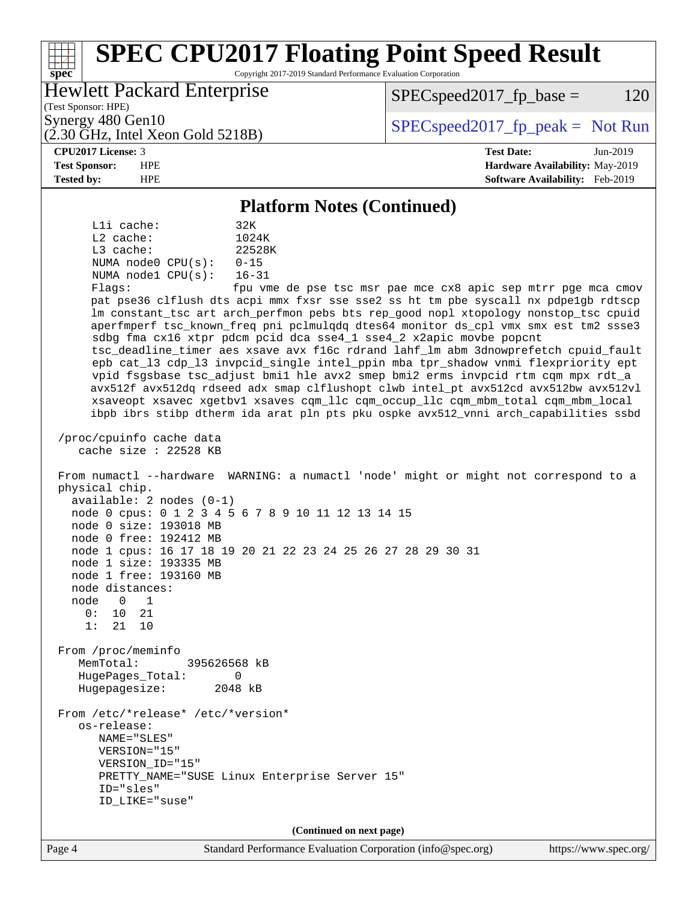### Page 4 Standard Performance Evaluation Corporation [\(info@spec.org\)](mailto:info@spec.org) <https://www.spec.org/> **[spec](http://www.spec.org/) [SPEC CPU2017 Floating Point Speed Result](http://www.spec.org/auto/cpu2017/Docs/result-fields.html#SPECCPU2017FloatingPointSpeedResult)** Copyright 2017-2019 Standard Performance Evaluation Corporation (Test Sponsor: HPE) Hewlett Packard Enterprise (2.30 GHz, Intel Xeon Gold 5218B) Synergy 480 Gen10  $SPEC speed2017$  fp\_peak = Not Run  $SPEC speed2017_fp\_base = 120$ **[CPU2017 License:](http://www.spec.org/auto/cpu2017/Docs/result-fields.html#CPU2017License)** 3 **[Test Date:](http://www.spec.org/auto/cpu2017/Docs/result-fields.html#TestDate)** Jun-2019 **[Test Sponsor:](http://www.spec.org/auto/cpu2017/Docs/result-fields.html#TestSponsor)** HPE **[Hardware Availability:](http://www.spec.org/auto/cpu2017/Docs/result-fields.html#HardwareAvailability)** May-2019 **[Tested by:](http://www.spec.org/auto/cpu2017/Docs/result-fields.html#Testedby)** HPE **[Software Availability:](http://www.spec.org/auto/cpu2017/Docs/result-fields.html#SoftwareAvailability)** Feb-2019 **[Platform Notes \(Continued\)](http://www.spec.org/auto/cpu2017/Docs/result-fields.html#PlatformNotes)** L1i cache: 32K L2 cache: 1024K L3 cache: 22528K NUMA node0 CPU(s): 0-15 NUMA node1 CPU(s): 16-31 Flags: fpu vme de pse tsc msr pae mce cx8 apic sep mtrr pge mca cmov pat pse36 clflush dts acpi mmx fxsr sse sse2 ss ht tm pbe syscall nx pdpe1gb rdtscp lm constant\_tsc art arch\_perfmon pebs bts rep\_good nopl xtopology nonstop\_tsc cpuid aperfmperf tsc\_known\_freq pni pclmulqdq dtes64 monitor ds\_cpl vmx smx est tm2 ssse3 sdbg fma cx16 xtpr pdcm pcid dca sse4\_1 sse4\_2 x2apic movbe popcnt tsc\_deadline\_timer aes xsave avx f16c rdrand lahf\_lm abm 3dnowprefetch cpuid\_fault epb cat\_l3 cdp\_l3 invpcid\_single intel\_ppin mba tpr\_shadow vnmi flexpriority ept vpid fsgsbase tsc\_adjust bmi1 hle avx2 smep bmi2 erms invpcid rtm cqm mpx rdt\_a avx512f avx512dq rdseed adx smap clflushopt clwb intel\_pt avx512cd avx512bw avx512vl xsaveopt xsavec xgetbv1 xsaves cqm\_llc cqm\_occup\_llc cqm\_mbm\_total cqm\_mbm\_local ibpb ibrs stibp dtherm ida arat pln pts pku ospke avx512\_vnni arch\_capabilities ssbd /proc/cpuinfo cache data cache size : 22528 KB From numactl --hardware WARNING: a numactl 'node' might or might not correspond to a physical chip. available: 2 nodes (0-1) node 0 cpus: 0 1 2 3 4 5 6 7 8 9 10 11 12 13 14 15 node 0 size: 193018 MB node 0 free: 192412 MB node 1 cpus: 16 17 18 19 20 21 22 23 24 25 26 27 28 29 30 31 node 1 size: 193335 MB node 1 free: 193160 MB node distances: node 0 1  $0: 10 21$  1: 21 10 From /proc/meminfo MemTotal: 395626568 kB HugePages\_Total: 0 Hugepagesize: 2048 kB From /etc/\*release\* /etc/\*version\* os-release: NAME="SLES" VERSION="15" VERSION\_ID="15" PRETTY\_NAME="SUSE Linux Enterprise Server 15" ID="sles" ID\_LIKE="suse" **(Continued on next page)**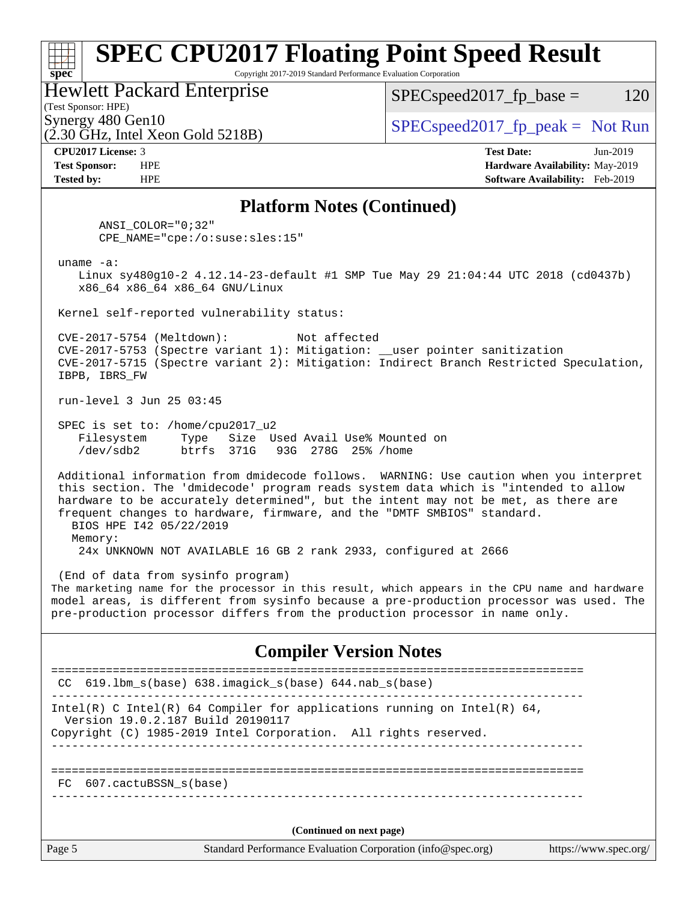### **[spec](http://www.spec.org/) [SPEC CPU2017 Floating Point Speed Result](http://www.spec.org/auto/cpu2017/Docs/result-fields.html#SPECCPU2017FloatingPointSpeedResult)** Copyright 2017-2019 Standard Performance Evaluation Corporation (Test Sponsor: HPE) Hewlett Packard Enterprise (2.30 GHz, Intel Xeon Gold 5218B) Synergy 480 Gen10<br>  $SPEC speed2017$  [p\_peak = Not Run  $SPEC speed2017_fp\_base = 120$ **[CPU2017 License:](http://www.spec.org/auto/cpu2017/Docs/result-fields.html#CPU2017License)** 3 **[Test Date:](http://www.spec.org/auto/cpu2017/Docs/result-fields.html#TestDate)** Jun-2019 **[Test Sponsor:](http://www.spec.org/auto/cpu2017/Docs/result-fields.html#TestSponsor)** HPE **[Hardware Availability:](http://www.spec.org/auto/cpu2017/Docs/result-fields.html#HardwareAvailability)** May-2019 **[Tested by:](http://www.spec.org/auto/cpu2017/Docs/result-fields.html#Testedby)** HPE **[Software Availability:](http://www.spec.org/auto/cpu2017/Docs/result-fields.html#SoftwareAvailability)** Feb-2019 **[Platform Notes \(Continued\)](http://www.spec.org/auto/cpu2017/Docs/result-fields.html#PlatformNotes)** ANSI\_COLOR="0;32" CPE\_NAME="cpe:/o:suse:sles:15" uname -a: Linux sy480g10-2 4.12.14-23-default #1 SMP Tue May 29 21:04:44 UTC 2018 (cd0437b) x86\_64 x86\_64 x86\_64 GNU/Linux Kernel self-reported vulnerability status: CVE-2017-5754 (Meltdown): Not affected CVE-2017-5753 (Spectre variant 1): Mitigation: \_\_user pointer sanitization CVE-2017-5715 (Spectre variant 2): Mitigation: Indirect Branch Restricted Speculation, IBPB, IBRS\_FW run-level 3 Jun 25 03:45 SPEC is set to: /home/cpu2017\_u2 Filesystem Type Size Used Avail Use% Mounted on /dev/sdb2 btrfs 371G 93G 278G 25% /home Additional information from dmidecode follows. WARNING: Use caution when you interpret this section. The 'dmidecode' program reads system data which is "intended to allow hardware to be accurately determined", but the intent may not be met, as there are frequent changes to hardware, firmware, and the "DMTF SMBIOS" standard. BIOS HPE I42 05/22/2019 Memory: 24x UNKNOWN NOT AVAILABLE 16 GB 2 rank 2933, configured at 2666 (End of data from sysinfo program) The marketing name for the processor in this result, which appears in the CPU name and hardware model areas, is different from sysinfo because a pre-production processor was used. The pre-production processor differs from the production processor in name only. **[Compiler Version Notes](http://www.spec.org/auto/cpu2017/Docs/result-fields.html#CompilerVersionNotes)** ============================================================================== CC 619.lbm\_s(base) 638.imagick\_s(base) 644.nab\_s(base) ------------------------------------------------------------------------------ Intel(R) C Intel(R) 64 Compiler for applications running on Intel(R)  $64$ , Version 19.0.2.187 Build 20190117 Copyright (C) 1985-2019 Intel Corporation. All rights reserved. ------------------------------------------------------------------------------

============================================================================== FC 607.cactuBSSN\_s(base)

------------------------------------------------------------------------------

**(Continued on next page)**

Page 5 Standard Performance Evaluation Corporation [\(info@spec.org\)](mailto:info@spec.org) <https://www.spec.org/>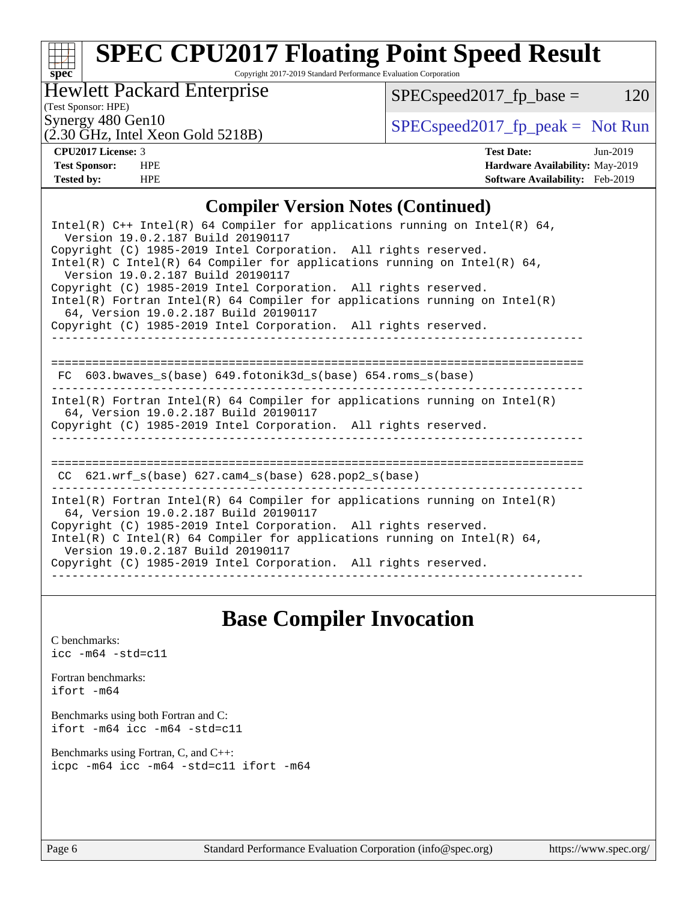# **[spec](http://www.spec.org/)**

# **[SPEC CPU2017 Floating Point Speed Result](http://www.spec.org/auto/cpu2017/Docs/result-fields.html#SPECCPU2017FloatingPointSpeedResult)**

Copyright 2017-2019 Standard Performance Evaluation Corporation

Hewlett Packard Enterprise

 $SPEC speed2017_fp\_base = 120$ 

(Test Sponsor: HPE)

(2.30 GHz, Intel Xeon Gold 5218B)

Synergy 480 Gen10<br>  $SPEC speed2017<sub>rfp</sub> peak = Not Run$ 

**[CPU2017 License:](http://www.spec.org/auto/cpu2017/Docs/result-fields.html#CPU2017License)** 3 **[Test Date:](http://www.spec.org/auto/cpu2017/Docs/result-fields.html#TestDate)** Jun-2019 **[Test Sponsor:](http://www.spec.org/auto/cpu2017/Docs/result-fields.html#TestSponsor)** HPE **[Hardware Availability:](http://www.spec.org/auto/cpu2017/Docs/result-fields.html#HardwareAvailability)** May-2019 **[Tested by:](http://www.spec.org/auto/cpu2017/Docs/result-fields.html#Testedby)** HPE **[Software Availability:](http://www.spec.org/auto/cpu2017/Docs/result-fields.html#SoftwareAvailability)** Feb-2019

### **[Compiler Version Notes \(Continued\)](http://www.spec.org/auto/cpu2017/Docs/result-fields.html#CompilerVersionNotes)**

| Intel(R) $C++$ Intel(R) 64 Compiler for applications running on Intel(R) 64,<br>Version 19.0.2.187 Build 20190117                                                                        |
|------------------------------------------------------------------------------------------------------------------------------------------------------------------------------------------|
| Copyright (C) 1985-2019 Intel Corporation. All rights reserved.<br>Intel(R) C Intel(R) 64 Compiler for applications running on Intel(R) 64,<br>Version 19.0.2.187 Build 20190117         |
| Copyright (C) 1985-2019 Intel Corporation. All rights reserved.<br>Intel(R) Fortran Intel(R) 64 Compiler for applications running on Intel(R)<br>64. Version 19.0.2.187 Build 20190117   |
| Copyright (C) 1985-2019 Intel Corporation. All rights reserved.                                                                                                                          |
| FC 603.bwaves s(base) 649.fotonik3d s(base) 654.roms s(base)                                                                                                                             |
| $Intel(R)$ Fortran Intel(R) 64 Compiler for applications running on Intel(R)<br>64, Version 19.0.2.187 Build 20190117<br>Copyright (C) 1985-2019 Intel Corporation. All rights reserved. |
| CC $621.wrf s(base) 627.cam4 s(base) 628.pop2 s(base)$                                                                                                                                   |
|                                                                                                                                                                                          |
| $Intel(R)$ Fortran Intel(R) 64 Compiler for applications running on Intel(R)<br>64, Version 19.0.2.187 Build 20190117<br>Copyright (C) 1985-2019 Intel Corporation. All rights reserved. |
| Intel(R) C Intel(R) 64 Compiler for applications running on Intel(R) 64,<br>Version 19.0.2.187 Build 20190117<br>Copyright (C) 1985-2019 Intel Corporation. All rights reserved.         |
|                                                                                                                                                                                          |

## **[Base Compiler Invocation](http://www.spec.org/auto/cpu2017/Docs/result-fields.html#BaseCompilerInvocation)**

[C benchmarks](http://www.spec.org/auto/cpu2017/Docs/result-fields.html#Cbenchmarks): [icc -m64 -std=c11](http://www.spec.org/cpu2017/results/res2019q3/cpu2017-20190709-16123.flags.html#user_CCbase_intel_icc_64bit_c11_33ee0cdaae7deeeab2a9725423ba97205ce30f63b9926c2519791662299b76a0318f32ddfffdc46587804de3178b4f9328c46fa7c2b0cd779d7a61945c91cd35)

[Fortran benchmarks](http://www.spec.org/auto/cpu2017/Docs/result-fields.html#Fortranbenchmarks): [ifort -m64](http://www.spec.org/cpu2017/results/res2019q3/cpu2017-20190709-16123.flags.html#user_FCbase_intel_ifort_64bit_24f2bb282fbaeffd6157abe4f878425411749daecae9a33200eee2bee2fe76f3b89351d69a8130dd5949958ce389cf37ff59a95e7a40d588e8d3a57e0c3fd751)

[Benchmarks using both Fortran and C](http://www.spec.org/auto/cpu2017/Docs/result-fields.html#BenchmarksusingbothFortranandC): [ifort -m64](http://www.spec.org/cpu2017/results/res2019q3/cpu2017-20190709-16123.flags.html#user_CC_FCbase_intel_ifort_64bit_24f2bb282fbaeffd6157abe4f878425411749daecae9a33200eee2bee2fe76f3b89351d69a8130dd5949958ce389cf37ff59a95e7a40d588e8d3a57e0c3fd751) [icc -m64 -std=c11](http://www.spec.org/cpu2017/results/res2019q3/cpu2017-20190709-16123.flags.html#user_CC_FCbase_intel_icc_64bit_c11_33ee0cdaae7deeeab2a9725423ba97205ce30f63b9926c2519791662299b76a0318f32ddfffdc46587804de3178b4f9328c46fa7c2b0cd779d7a61945c91cd35)

[Benchmarks using Fortran, C, and C++:](http://www.spec.org/auto/cpu2017/Docs/result-fields.html#BenchmarksusingFortranCandCXX) [icpc -m64](http://www.spec.org/cpu2017/results/res2019q3/cpu2017-20190709-16123.flags.html#user_CC_CXX_FCbase_intel_icpc_64bit_4ecb2543ae3f1412ef961e0650ca070fec7b7afdcd6ed48761b84423119d1bf6bdf5cad15b44d48e7256388bc77273b966e5eb805aefd121eb22e9299b2ec9d9) [icc -m64 -std=c11](http://www.spec.org/cpu2017/results/res2019q3/cpu2017-20190709-16123.flags.html#user_CC_CXX_FCbase_intel_icc_64bit_c11_33ee0cdaae7deeeab2a9725423ba97205ce30f63b9926c2519791662299b76a0318f32ddfffdc46587804de3178b4f9328c46fa7c2b0cd779d7a61945c91cd35) [ifort -m64](http://www.spec.org/cpu2017/results/res2019q3/cpu2017-20190709-16123.flags.html#user_CC_CXX_FCbase_intel_ifort_64bit_24f2bb282fbaeffd6157abe4f878425411749daecae9a33200eee2bee2fe76f3b89351d69a8130dd5949958ce389cf37ff59a95e7a40d588e8d3a57e0c3fd751)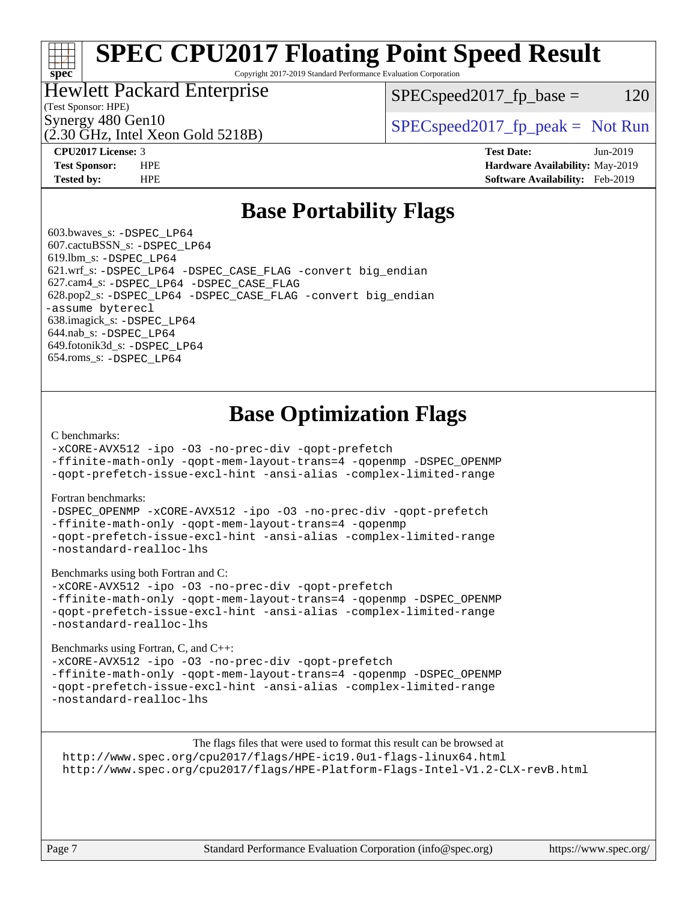# **[SPEC CPU2017 Floating Point Speed Result](http://www.spec.org/auto/cpu2017/Docs/result-fields.html#SPECCPU2017FloatingPointSpeedResult)**

Copyright 2017-2019 Standard Performance Evaluation Corporation

### Hewlett Packard Enterprise

 $SPEC speed2017_fp\_base = 120$ 

### (Test Sponsor: HPE)

**[spec](http://www.spec.org/)**

(2.30 GHz, Intel Xeon Gold 5218B)

Synergy 480 Gen10<br>  $SPEC speed2017<sub>rfp</sub> peak = Not Run$ 

**[CPU2017 License:](http://www.spec.org/auto/cpu2017/Docs/result-fields.html#CPU2017License)** 3 **[Test Date:](http://www.spec.org/auto/cpu2017/Docs/result-fields.html#TestDate)** Jun-2019 **[Test Sponsor:](http://www.spec.org/auto/cpu2017/Docs/result-fields.html#TestSponsor)** HPE **[Hardware Availability:](http://www.spec.org/auto/cpu2017/Docs/result-fields.html#HardwareAvailability)** May-2019 **[Tested by:](http://www.spec.org/auto/cpu2017/Docs/result-fields.html#Testedby)** HPE **[Software Availability:](http://www.spec.org/auto/cpu2017/Docs/result-fields.html#SoftwareAvailability)** Feb-2019

### **[Base Portability Flags](http://www.spec.org/auto/cpu2017/Docs/result-fields.html#BasePortabilityFlags)**

 603.bwaves\_s: [-DSPEC\\_LP64](http://www.spec.org/cpu2017/results/res2019q3/cpu2017-20190709-16123.flags.html#suite_basePORTABILITY603_bwaves_s_DSPEC_LP64) 607.cactuBSSN\_s: [-DSPEC\\_LP64](http://www.spec.org/cpu2017/results/res2019q3/cpu2017-20190709-16123.flags.html#suite_basePORTABILITY607_cactuBSSN_s_DSPEC_LP64) 619.lbm\_s: [-DSPEC\\_LP64](http://www.spec.org/cpu2017/results/res2019q3/cpu2017-20190709-16123.flags.html#suite_basePORTABILITY619_lbm_s_DSPEC_LP64) 621.wrf\_s: [-DSPEC\\_LP64](http://www.spec.org/cpu2017/results/res2019q3/cpu2017-20190709-16123.flags.html#suite_basePORTABILITY621_wrf_s_DSPEC_LP64) [-DSPEC\\_CASE\\_FLAG](http://www.spec.org/cpu2017/results/res2019q3/cpu2017-20190709-16123.flags.html#b621.wrf_s_baseCPORTABILITY_DSPEC_CASE_FLAG) [-convert big\\_endian](http://www.spec.org/cpu2017/results/res2019q3/cpu2017-20190709-16123.flags.html#user_baseFPORTABILITY621_wrf_s_convert_big_endian_c3194028bc08c63ac5d04de18c48ce6d347e4e562e8892b8bdbdc0214820426deb8554edfa529a3fb25a586e65a3d812c835984020483e7e73212c4d31a38223) 627.cam4\_s: [-DSPEC\\_LP64](http://www.spec.org/cpu2017/results/res2019q3/cpu2017-20190709-16123.flags.html#suite_basePORTABILITY627_cam4_s_DSPEC_LP64) [-DSPEC\\_CASE\\_FLAG](http://www.spec.org/cpu2017/results/res2019q3/cpu2017-20190709-16123.flags.html#b627.cam4_s_baseCPORTABILITY_DSPEC_CASE_FLAG) 628.pop2\_s: [-DSPEC\\_LP64](http://www.spec.org/cpu2017/results/res2019q3/cpu2017-20190709-16123.flags.html#suite_basePORTABILITY628_pop2_s_DSPEC_LP64) [-DSPEC\\_CASE\\_FLAG](http://www.spec.org/cpu2017/results/res2019q3/cpu2017-20190709-16123.flags.html#b628.pop2_s_baseCPORTABILITY_DSPEC_CASE_FLAG) [-convert big\\_endian](http://www.spec.org/cpu2017/results/res2019q3/cpu2017-20190709-16123.flags.html#user_baseFPORTABILITY628_pop2_s_convert_big_endian_c3194028bc08c63ac5d04de18c48ce6d347e4e562e8892b8bdbdc0214820426deb8554edfa529a3fb25a586e65a3d812c835984020483e7e73212c4d31a38223) [-assume byterecl](http://www.spec.org/cpu2017/results/res2019q3/cpu2017-20190709-16123.flags.html#user_baseFPORTABILITY628_pop2_s_assume_byterecl_7e47d18b9513cf18525430bbf0f2177aa9bf368bc7a059c09b2c06a34b53bd3447c950d3f8d6c70e3faf3a05c8557d66a5798b567902e8849adc142926523472) 638.imagick\_s: [-DSPEC\\_LP64](http://www.spec.org/cpu2017/results/res2019q3/cpu2017-20190709-16123.flags.html#suite_basePORTABILITY638_imagick_s_DSPEC_LP64) 644.nab\_s: [-DSPEC\\_LP64](http://www.spec.org/cpu2017/results/res2019q3/cpu2017-20190709-16123.flags.html#suite_basePORTABILITY644_nab_s_DSPEC_LP64) 649.fotonik3d\_s: [-DSPEC\\_LP64](http://www.spec.org/cpu2017/results/res2019q3/cpu2017-20190709-16123.flags.html#suite_basePORTABILITY649_fotonik3d_s_DSPEC_LP64) 654.roms\_s: [-DSPEC\\_LP64](http://www.spec.org/cpu2017/results/res2019q3/cpu2017-20190709-16123.flags.html#suite_basePORTABILITY654_roms_s_DSPEC_LP64)

## **[Base Optimization Flags](http://www.spec.org/auto/cpu2017/Docs/result-fields.html#BaseOptimizationFlags)**

#### [C benchmarks](http://www.spec.org/auto/cpu2017/Docs/result-fields.html#Cbenchmarks):

[-xCORE-AVX512](http://www.spec.org/cpu2017/results/res2019q3/cpu2017-20190709-16123.flags.html#user_CCbase_f-xCORE-AVX512) [-ipo](http://www.spec.org/cpu2017/results/res2019q3/cpu2017-20190709-16123.flags.html#user_CCbase_f-ipo) [-O3](http://www.spec.org/cpu2017/results/res2019q3/cpu2017-20190709-16123.flags.html#user_CCbase_f-O3) [-no-prec-div](http://www.spec.org/cpu2017/results/res2019q3/cpu2017-20190709-16123.flags.html#user_CCbase_f-no-prec-div) [-qopt-prefetch](http://www.spec.org/cpu2017/results/res2019q3/cpu2017-20190709-16123.flags.html#user_CCbase_f-qopt-prefetch)

[-ffinite-math-only](http://www.spec.org/cpu2017/results/res2019q3/cpu2017-20190709-16123.flags.html#user_CCbase_f_finite_math_only_cb91587bd2077682c4b38af759c288ed7c732db004271a9512da14a4f8007909a5f1427ecbf1a0fb78ff2a814402c6114ac565ca162485bbcae155b5e4258871) [-qopt-mem-layout-trans=4](http://www.spec.org/cpu2017/results/res2019q3/cpu2017-20190709-16123.flags.html#user_CCbase_f-qopt-mem-layout-trans_fa39e755916c150a61361b7846f310bcdf6f04e385ef281cadf3647acec3f0ae266d1a1d22d972a7087a248fd4e6ca390a3634700869573d231a252c784941a8) [-qopenmp](http://www.spec.org/cpu2017/results/res2019q3/cpu2017-20190709-16123.flags.html#user_CCbase_qopenmp_16be0c44f24f464004c6784a7acb94aca937f053568ce72f94b139a11c7c168634a55f6653758ddd83bcf7b8463e8028bb0b48b77bcddc6b78d5d95bb1df2967) [-DSPEC\\_OPENMP](http://www.spec.org/cpu2017/results/res2019q3/cpu2017-20190709-16123.flags.html#suite_CCbase_DSPEC_OPENMP) [-qopt-prefetch-issue-excl-hint](http://www.spec.org/cpu2017/results/res2019q3/cpu2017-20190709-16123.flags.html#user_CCbase_f-qopt-prefetch-issue-excl-hint) [-ansi-alias](http://www.spec.org/cpu2017/results/res2019q3/cpu2017-20190709-16123.flags.html#user_CCbase_f-ansi-alias) [-complex-limited-range](http://www.spec.org/cpu2017/results/res2019q3/cpu2017-20190709-16123.flags.html#user_CCbase_f-complex-limited-range)

#### [Fortran benchmarks](http://www.spec.org/auto/cpu2017/Docs/result-fields.html#Fortranbenchmarks):

[-DSPEC\\_OPENMP](http://www.spec.org/cpu2017/results/res2019q3/cpu2017-20190709-16123.flags.html#suite_FCbase_DSPEC_OPENMP) [-xCORE-AVX512](http://www.spec.org/cpu2017/results/res2019q3/cpu2017-20190709-16123.flags.html#user_FCbase_f-xCORE-AVX512) [-ipo](http://www.spec.org/cpu2017/results/res2019q3/cpu2017-20190709-16123.flags.html#user_FCbase_f-ipo) [-O3](http://www.spec.org/cpu2017/results/res2019q3/cpu2017-20190709-16123.flags.html#user_FCbase_f-O3) [-no-prec-div](http://www.spec.org/cpu2017/results/res2019q3/cpu2017-20190709-16123.flags.html#user_FCbase_f-no-prec-div) [-qopt-prefetch](http://www.spec.org/cpu2017/results/res2019q3/cpu2017-20190709-16123.flags.html#user_FCbase_f-qopt-prefetch) [-ffinite-math-only](http://www.spec.org/cpu2017/results/res2019q3/cpu2017-20190709-16123.flags.html#user_FCbase_f_finite_math_only_cb91587bd2077682c4b38af759c288ed7c732db004271a9512da14a4f8007909a5f1427ecbf1a0fb78ff2a814402c6114ac565ca162485bbcae155b5e4258871) [-qopt-mem-layout-trans=4](http://www.spec.org/cpu2017/results/res2019q3/cpu2017-20190709-16123.flags.html#user_FCbase_f-qopt-mem-layout-trans_fa39e755916c150a61361b7846f310bcdf6f04e385ef281cadf3647acec3f0ae266d1a1d22d972a7087a248fd4e6ca390a3634700869573d231a252c784941a8) [-qopenmp](http://www.spec.org/cpu2017/results/res2019q3/cpu2017-20190709-16123.flags.html#user_FCbase_qopenmp_16be0c44f24f464004c6784a7acb94aca937f053568ce72f94b139a11c7c168634a55f6653758ddd83bcf7b8463e8028bb0b48b77bcddc6b78d5d95bb1df2967) [-qopt-prefetch-issue-excl-hint](http://www.spec.org/cpu2017/results/res2019q3/cpu2017-20190709-16123.flags.html#user_FCbase_f-qopt-prefetch-issue-excl-hint) [-ansi-alias](http://www.spec.org/cpu2017/results/res2019q3/cpu2017-20190709-16123.flags.html#user_FCbase_f-ansi-alias) [-complex-limited-range](http://www.spec.org/cpu2017/results/res2019q3/cpu2017-20190709-16123.flags.html#user_FCbase_f-complex-limited-range) [-nostandard-realloc-lhs](http://www.spec.org/cpu2017/results/res2019q3/cpu2017-20190709-16123.flags.html#user_FCbase_f_2003_std_realloc_82b4557e90729c0f113870c07e44d33d6f5a304b4f63d4c15d2d0f1fab99f5daaed73bdb9275d9ae411527f28b936061aa8b9c8f2d63842963b95c9dd6426b8a)

[Benchmarks using both Fortran and C](http://www.spec.org/auto/cpu2017/Docs/result-fields.html#BenchmarksusingbothFortranandC):

[-xCORE-AVX512](http://www.spec.org/cpu2017/results/res2019q3/cpu2017-20190709-16123.flags.html#user_CC_FCbase_f-xCORE-AVX512) [-ipo](http://www.spec.org/cpu2017/results/res2019q3/cpu2017-20190709-16123.flags.html#user_CC_FCbase_f-ipo) [-O3](http://www.spec.org/cpu2017/results/res2019q3/cpu2017-20190709-16123.flags.html#user_CC_FCbase_f-O3) [-no-prec-div](http://www.spec.org/cpu2017/results/res2019q3/cpu2017-20190709-16123.flags.html#user_CC_FCbase_f-no-prec-div) [-qopt-prefetch](http://www.spec.org/cpu2017/results/res2019q3/cpu2017-20190709-16123.flags.html#user_CC_FCbase_f-qopt-prefetch) [-ffinite-math-only](http://www.spec.org/cpu2017/results/res2019q3/cpu2017-20190709-16123.flags.html#user_CC_FCbase_f_finite_math_only_cb91587bd2077682c4b38af759c288ed7c732db004271a9512da14a4f8007909a5f1427ecbf1a0fb78ff2a814402c6114ac565ca162485bbcae155b5e4258871) [-qopt-mem-layout-trans=4](http://www.spec.org/cpu2017/results/res2019q3/cpu2017-20190709-16123.flags.html#user_CC_FCbase_f-qopt-mem-layout-trans_fa39e755916c150a61361b7846f310bcdf6f04e385ef281cadf3647acec3f0ae266d1a1d22d972a7087a248fd4e6ca390a3634700869573d231a252c784941a8) [-qopenmp](http://www.spec.org/cpu2017/results/res2019q3/cpu2017-20190709-16123.flags.html#user_CC_FCbase_qopenmp_16be0c44f24f464004c6784a7acb94aca937f053568ce72f94b139a11c7c168634a55f6653758ddd83bcf7b8463e8028bb0b48b77bcddc6b78d5d95bb1df2967) [-DSPEC\\_OPENMP](http://www.spec.org/cpu2017/results/res2019q3/cpu2017-20190709-16123.flags.html#suite_CC_FCbase_DSPEC_OPENMP) [-qopt-prefetch-issue-excl-hint](http://www.spec.org/cpu2017/results/res2019q3/cpu2017-20190709-16123.flags.html#user_CC_FCbase_f-qopt-prefetch-issue-excl-hint) [-ansi-alias](http://www.spec.org/cpu2017/results/res2019q3/cpu2017-20190709-16123.flags.html#user_CC_FCbase_f-ansi-alias) [-complex-limited-range](http://www.spec.org/cpu2017/results/res2019q3/cpu2017-20190709-16123.flags.html#user_CC_FCbase_f-complex-limited-range) [-nostandard-realloc-lhs](http://www.spec.org/cpu2017/results/res2019q3/cpu2017-20190709-16123.flags.html#user_CC_FCbase_f_2003_std_realloc_82b4557e90729c0f113870c07e44d33d6f5a304b4f63d4c15d2d0f1fab99f5daaed73bdb9275d9ae411527f28b936061aa8b9c8f2d63842963b95c9dd6426b8a)

[Benchmarks using Fortran, C, and C++:](http://www.spec.org/auto/cpu2017/Docs/result-fields.html#BenchmarksusingFortranCandCXX)

[-xCORE-AVX512](http://www.spec.org/cpu2017/results/res2019q3/cpu2017-20190709-16123.flags.html#user_CC_CXX_FCbase_f-xCORE-AVX512) [-ipo](http://www.spec.org/cpu2017/results/res2019q3/cpu2017-20190709-16123.flags.html#user_CC_CXX_FCbase_f-ipo) [-O3](http://www.spec.org/cpu2017/results/res2019q3/cpu2017-20190709-16123.flags.html#user_CC_CXX_FCbase_f-O3) [-no-prec-div](http://www.spec.org/cpu2017/results/res2019q3/cpu2017-20190709-16123.flags.html#user_CC_CXX_FCbase_f-no-prec-div) [-qopt-prefetch](http://www.spec.org/cpu2017/results/res2019q3/cpu2017-20190709-16123.flags.html#user_CC_CXX_FCbase_f-qopt-prefetch) [-ffinite-math-only](http://www.spec.org/cpu2017/results/res2019q3/cpu2017-20190709-16123.flags.html#user_CC_CXX_FCbase_f_finite_math_only_cb91587bd2077682c4b38af759c288ed7c732db004271a9512da14a4f8007909a5f1427ecbf1a0fb78ff2a814402c6114ac565ca162485bbcae155b5e4258871) [-qopt-mem-layout-trans=4](http://www.spec.org/cpu2017/results/res2019q3/cpu2017-20190709-16123.flags.html#user_CC_CXX_FCbase_f-qopt-mem-layout-trans_fa39e755916c150a61361b7846f310bcdf6f04e385ef281cadf3647acec3f0ae266d1a1d22d972a7087a248fd4e6ca390a3634700869573d231a252c784941a8) [-qopenmp](http://www.spec.org/cpu2017/results/res2019q3/cpu2017-20190709-16123.flags.html#user_CC_CXX_FCbase_qopenmp_16be0c44f24f464004c6784a7acb94aca937f053568ce72f94b139a11c7c168634a55f6653758ddd83bcf7b8463e8028bb0b48b77bcddc6b78d5d95bb1df2967) [-DSPEC\\_OPENMP](http://www.spec.org/cpu2017/results/res2019q3/cpu2017-20190709-16123.flags.html#suite_CC_CXX_FCbase_DSPEC_OPENMP) [-qopt-prefetch-issue-excl-hint](http://www.spec.org/cpu2017/results/res2019q3/cpu2017-20190709-16123.flags.html#user_CC_CXX_FCbase_f-qopt-prefetch-issue-excl-hint) [-ansi-alias](http://www.spec.org/cpu2017/results/res2019q3/cpu2017-20190709-16123.flags.html#user_CC_CXX_FCbase_f-ansi-alias) [-complex-limited-range](http://www.spec.org/cpu2017/results/res2019q3/cpu2017-20190709-16123.flags.html#user_CC_CXX_FCbase_f-complex-limited-range) [-nostandard-realloc-lhs](http://www.spec.org/cpu2017/results/res2019q3/cpu2017-20190709-16123.flags.html#user_CC_CXX_FCbase_f_2003_std_realloc_82b4557e90729c0f113870c07e44d33d6f5a304b4f63d4c15d2d0f1fab99f5daaed73bdb9275d9ae411527f28b936061aa8b9c8f2d63842963b95c9dd6426b8a)

The flags files that were used to format this result can be browsed at <http://www.spec.org/cpu2017/flags/HPE-ic19.0u1-flags-linux64.html> <http://www.spec.org/cpu2017/flags/HPE-Platform-Flags-Intel-V1.2-CLX-revB.html>